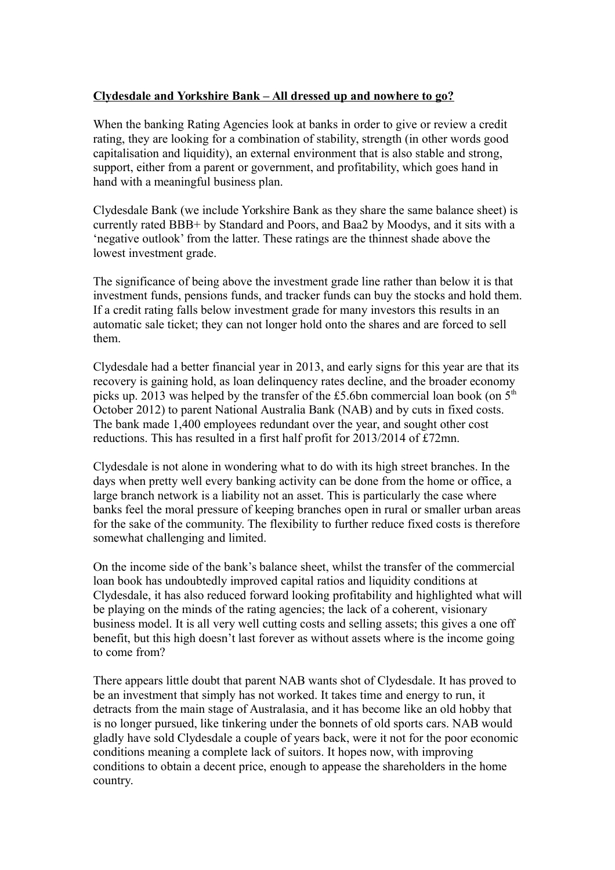## **Clydesdale and Yorkshire Bank – All dressed up and nowhere to go?**

When the banking Rating Agencies look at banks in order to give or review a credit rating, they are looking for a combination of stability, strength (in other words good capitalisation and liquidity), an external environment that is also stable and strong, support, either from a parent or government, and profitability, which goes hand in hand with a meaningful business plan.

Clydesdale Bank (we include Yorkshire Bank as they share the same balance sheet) is currently rated BBB+ by Standard and Poors, and Baa2 by Moodys, and it sits with a 'negative outlook' from the latter. These ratings are the thinnest shade above the lowest investment grade.

The significance of being above the investment grade line rather than below it is that investment funds, pensions funds, and tracker funds can buy the stocks and hold them. If a credit rating falls below investment grade for many investors this results in an automatic sale ticket; they can not longer hold onto the shares and are forced to sell them.

Clydesdale had a better financial year in 2013, and early signs for this year are that its recovery is gaining hold, as loan delinquency rates decline, and the broader economy picks up. 2013 was helped by the transfer of the £5.6bn commercial loan book (on  $5<sup>th</sup>$ October 2012) to parent National Australia Bank (NAB) and by cuts in fixed costs. The bank made 1,400 employees redundant over the year, and sought other cost reductions. This has resulted in a first half profit for 2013/2014 of £72mn.

Clydesdale is not alone in wondering what to do with its high street branches. In the days when pretty well every banking activity can be done from the home or office, a large branch network is a liability not an asset. This is particularly the case where banks feel the moral pressure of keeping branches open in rural or smaller urban areas for the sake of the community. The flexibility to further reduce fixed costs is therefore somewhat challenging and limited.

On the income side of the bank's balance sheet, whilst the transfer of the commercial loan book has undoubtedly improved capital ratios and liquidity conditions at Clydesdale, it has also reduced forward looking profitability and highlighted what will be playing on the minds of the rating agencies; the lack of a coherent, visionary business model. It is all very well cutting costs and selling assets; this gives a one off benefit, but this high doesn't last forever as without assets where is the income going to come from?

There appears little doubt that parent NAB wants shot of Clydesdale. It has proved to be an investment that simply has not worked. It takes time and energy to run, it detracts from the main stage of Australasia, and it has become like an old hobby that is no longer pursued, like tinkering under the bonnets of old sports cars. NAB would gladly have sold Clydesdale a couple of years back, were it not for the poor economic conditions meaning a complete lack of suitors. It hopes now, with improving conditions to obtain a decent price, enough to appease the shareholders in the home country.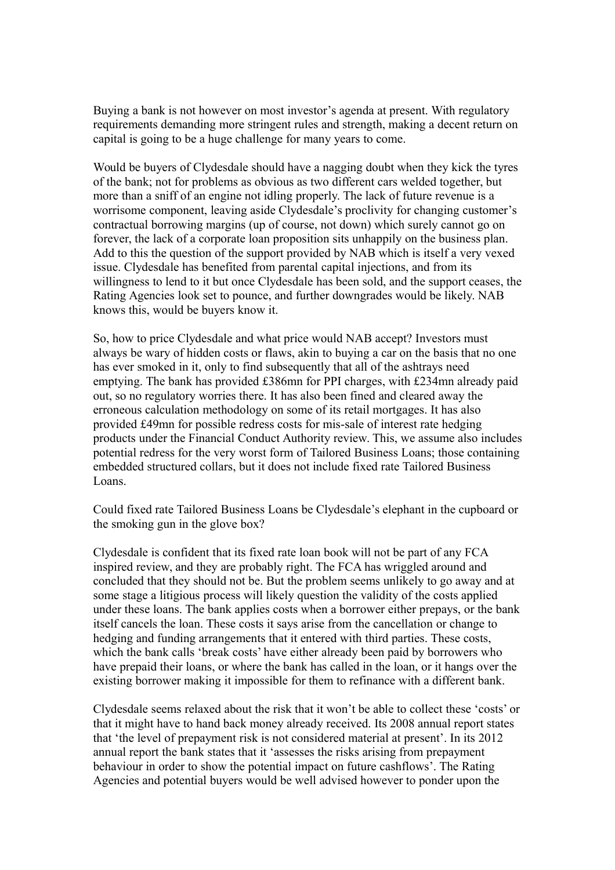Buying a bank is not however on most investor's agenda at present. With regulatory requirements demanding more stringent rules and strength, making a decent return on capital is going to be a huge challenge for many years to come.

Would be buyers of Clydesdale should have a nagging doubt when they kick the tyres of the bank; not for problems as obvious as two different cars welded together, but more than a sniff of an engine not idling properly. The lack of future revenue is a worrisome component, leaving aside Clydesdale's proclivity for changing customer's contractual borrowing margins (up of course, not down) which surely cannot go on forever, the lack of a corporate loan proposition sits unhappily on the business plan. Add to this the question of the support provided by NAB which is itself a very vexed issue. Clydesdale has benefited from parental capital injections, and from its willingness to lend to it but once Clydesdale has been sold, and the support ceases, the Rating Agencies look set to pounce, and further downgrades would be likely. NAB knows this, would be buyers know it.

So, how to price Clydesdale and what price would NAB accept? Investors must always be wary of hidden costs or flaws, akin to buying a car on the basis that no one has ever smoked in it, only to find subsequently that all of the ashtrays need emptying. The bank has provided £386mn for PPI charges, with £234mn already paid out, so no regulatory worries there. It has also been fined and cleared away the erroneous calculation methodology on some of its retail mortgages. It has also provided £49mn for possible redress costs for mis-sale of interest rate hedging products under the Financial Conduct Authority review. This, we assume also includes potential redress for the very worst form of Tailored Business Loans; those containing embedded structured collars, but it does not include fixed rate Tailored Business Loans.

Could fixed rate Tailored Business Loans be Clydesdale's elephant in the cupboard or the smoking gun in the glove box?

Clydesdale is confident that its fixed rate loan book will not be part of any FCA inspired review, and they are probably right. The FCA has wriggled around and concluded that they should not be. But the problem seems unlikely to go away and at some stage a litigious process will likely question the validity of the costs applied under these loans. The bank applies costs when a borrower either prepays, or the bank itself cancels the loan. These costs it says arise from the cancellation or change to hedging and funding arrangements that it entered with third parties. These costs, which the bank calls 'break costs' have either already been paid by borrowers who have prepaid their loans, or where the bank has called in the loan, or it hangs over the existing borrower making it impossible for them to refinance with a different bank.

Clydesdale seems relaxed about the risk that it won't be able to collect these 'costs' or that it might have to hand back money already received. Its 2008 annual report states that 'the level of prepayment risk is not considered material at present'. In its 2012 annual report the bank states that it 'assesses the risks arising from prepayment behaviour in order to show the potential impact on future cashflows'. The Rating Agencies and potential buyers would be well advised however to ponder upon the